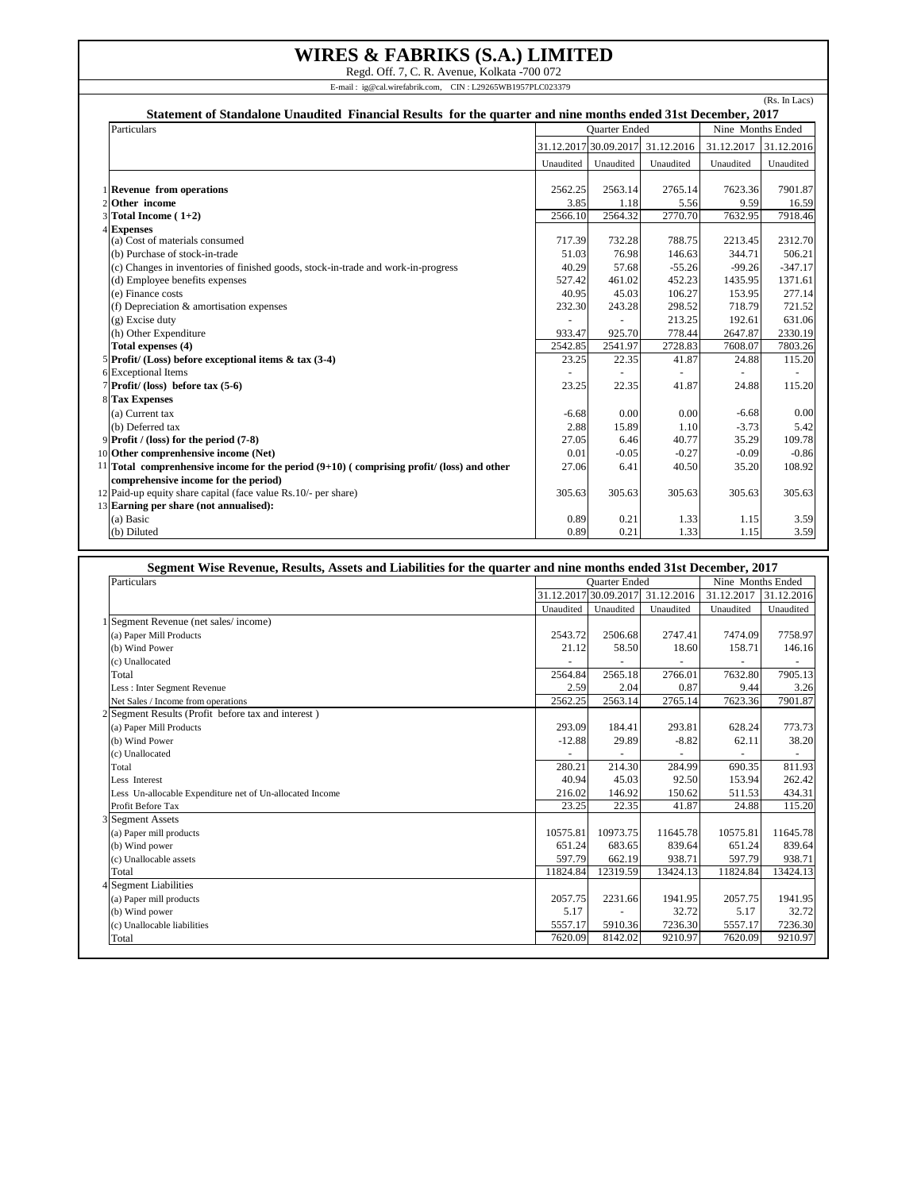## **WIRES & FABRIKS (S.A.) LIMITED**

Regd. Off. 7, C. R. Avenue, Kolkata -700 072 E-mail : ig@cal.wirefabrik.com, CIN : L29265WB1957PLC023379

| Particulars                                                                                   |           | <b>Ouarter Ended</b>  |            |                       | Nine Months Ended |
|-----------------------------------------------------------------------------------------------|-----------|-----------------------|------------|-----------------------|-------------------|
|                                                                                               |           | 31.12.2017 30.09.2017 | 31.12.2016 | 31.12.2017 31.12.2016 |                   |
|                                                                                               | Unaudited | Unaudited             | Unaudited  | Unaudited             | Unaudited         |
| 1 Revenue from operations                                                                     | 2562.25   | 2563.14               | 2765.14    | 7623.36               | 7901.87           |
| 2 Other income                                                                                | 3.85      | 1.18                  | 5.56       | 9.59                  | 16.59             |
| 3 Total Income (1+2)                                                                          | 2566.10   | 2564.32               | 2770.70    | 7632.95               | 7918.46           |
| 4 Expenses                                                                                    |           |                       |            |                       |                   |
| (a) Cost of materials consumed                                                                | 717.39    | 732.28                | 788.75     | 2213.45               | 2312.70           |
| (b) Purchase of stock-in-trade                                                                | 51.03     | 76.98                 | 146.63     | 344.71                | 506.21            |
| (c) Changes in inventories of finished goods, stock-in-trade and work-in-progress             | 40.29     | 57.68                 | $-55.26$   | $-99.26$              | $-347.17$         |
| (d) Employee benefits expenses                                                                | 527.42    | 461.02                | 452.23     | 1435.95               | 1371.61           |
| (e) Finance costs                                                                             | 40.95     | 45.03                 | 106.27     | 153.95                | 277.14            |
| (f) Depreciation & amortisation expenses                                                      | 232.30    | 243.28                | 298.52     | 718.79                | 721.52            |
| (g) Excise duty                                                                               |           |                       | 213.25     | 192.61                | 631.06            |
| (h) Other Expenditure                                                                         | 933.47    | 925.70                | 778.44     | 2647.87               | 2330.19           |
| Total expenses (4)                                                                            | 2542.85   | 2541.97               | 2728.83    | 7608.07               | 7803.26           |
| 5 Profit/ (Loss) before exceptional items $\&$ tax (3-4)                                      | 23.25     | 22.35                 | 41.87      | 24.88                 | 115.20            |
| 6 Exceptional Items                                                                           |           |                       |            | $\sim$                |                   |
| $7$ Profit/ (loss) before tax $(5-6)$                                                         | 23.25     | 22.35                 | 41.87      | 24.88                 | 115.20            |
| <b>8 Tax Expenses</b>                                                                         |           |                       |            |                       |                   |
| (a) Current tax                                                                               | $-6.68$   | 0.00                  | 0.00       | $-6.68$               | 0.00              |
| (b) Deferred tax                                                                              | 2.88      | 15.89                 | 1.10       | $-3.73$               | 5.42              |
| 9 Profit / (loss) for the period (7-8)                                                        | 27.05     | 6.46                  | 40.77      | 35.29                 | 109.78            |
| 10 Other comprenhensive income (Net)                                                          | 0.01      | $-0.05$               | $-0.27$    | $-0.09$               | $-0.86$           |
| $11$ Total comprenhensive income for the period $(9+10)$ (comprising profit/ (loss) and other | 27.06     | 6.41                  | 40.50      | 35.20                 | 108.92            |
| comprehensive income for the period)                                                          |           |                       |            |                       |                   |
| 12 Paid-up equity share capital (face value Rs.10/- per share)                                | 305.63    | 305.63                | 305.63     | 305.63                | 305.63            |
| 13 Earning per share (not annualised):                                                        |           |                       |            |                       |                   |
| (a) Basic                                                                                     | 0.89      | 0.21                  | 1.33       | 1.15                  | 3.59              |
| (b) Diluted                                                                                   | 0.89      | 0.21                  | 1.33       | 1.15                  | 3.59              |

| Segment Wise Revenue, Results, Assets and Liabilities for the quarter and nine months ended 31st December, 2017 |                      |                       |            |                   |            |
|-----------------------------------------------------------------------------------------------------------------|----------------------|-----------------------|------------|-------------------|------------|
| Particulars                                                                                                     | <b>Ouarter Ended</b> |                       |            | Nine Months Ended |            |
|                                                                                                                 |                      | 31.12.2017 30.09.2017 | 31.12.2016 | 31.12.2017        | 31.12.2016 |
|                                                                                                                 | Unaudited            | Unaudited             | Unaudited  | Unaudited         | Unaudited  |
| 1 Segment Revenue (net sales/income)                                                                            |                      |                       |            |                   |            |
| (a) Paper Mill Products                                                                                         | 2543.72              | 2506.68               | 2747.41    | 7474.09           | 7758.97    |
| (b) Wind Power                                                                                                  | 21.12                | 58.50                 | 18.60      | 158.71            | 146.16     |
| (c) Unallocated                                                                                                 |                      |                       |            |                   |            |
| Total                                                                                                           | 2564.84              | 2565.18               | 2766.01    | 7632.80           | 7905.13    |
| Less : Inter Segment Revenue                                                                                    | 2.59                 | 2.04                  | 0.87       | 9.44              | 3.26       |
| Net Sales / Income from operations                                                                              | 2562.25              | 2563.14               | 2765.14    | 7623.36           | 7901.87    |
| 2 Segment Results (Profit before tax and interest)                                                              |                      |                       |            |                   |            |
| (a) Paper Mill Products                                                                                         | 293.09               | 184.41                | 293.81     | 628.24            | 773.73     |
| (b) Wind Power                                                                                                  | $-12.88$             | 29.89                 | $-8.82$    | 62.11             | 38.20      |
| (c) Unallocated                                                                                                 |                      |                       |            |                   | ÷,         |
| Total                                                                                                           | 280.21               | 214.30                | 284.99     | 690.35            | 811.93     |
| Less Interest                                                                                                   | 40.94                | 45.03                 | 92.50      | 153.94            | 262.42     |
| Less Un-allocable Expenditure net of Un-allocated Income                                                        | 216.02               | 146.92                | 150.62     | 511.53            | 434.31     |
| Profit Before Tax                                                                                               | 23.25                | 22.35                 | 41.87      | 24.88             | 115.20     |
| 3 Segment Assets                                                                                                |                      |                       |            |                   |            |
| (a) Paper mill products                                                                                         | 10575.81             | 10973.75              | 11645.78   | 10575.81          | 11645.78   |
| (b) Wind power                                                                                                  | 651.24               | 683.65                | 839.64     | 651.24            | 839.64     |
| (c) Unallocable assets                                                                                          | 597.79               | 662.19                | 938.71     | 597.79            | 938.71     |
| Total                                                                                                           | 11824.84             | 12319.59              | 13424.13   | 11824.84          | 13424.13   |
| 4 Segment Liabilities                                                                                           |                      |                       |            |                   |            |
| (a) Paper mill products                                                                                         | 2057.75              | 2231.66               | 1941.95    | 2057.75           | 1941.95    |
| (b) Wind power                                                                                                  | 5.17                 |                       | 32.72      | 5.17              | 32.72      |
| (c) Unallocable liabilities                                                                                     | 5557.17              | 5910.36               | 7236.30    | 5557.17           | 7236.30    |
| Total                                                                                                           | 7620.09              | 8142.02               | 9210.97    | 7620.09           | 9210.97    |